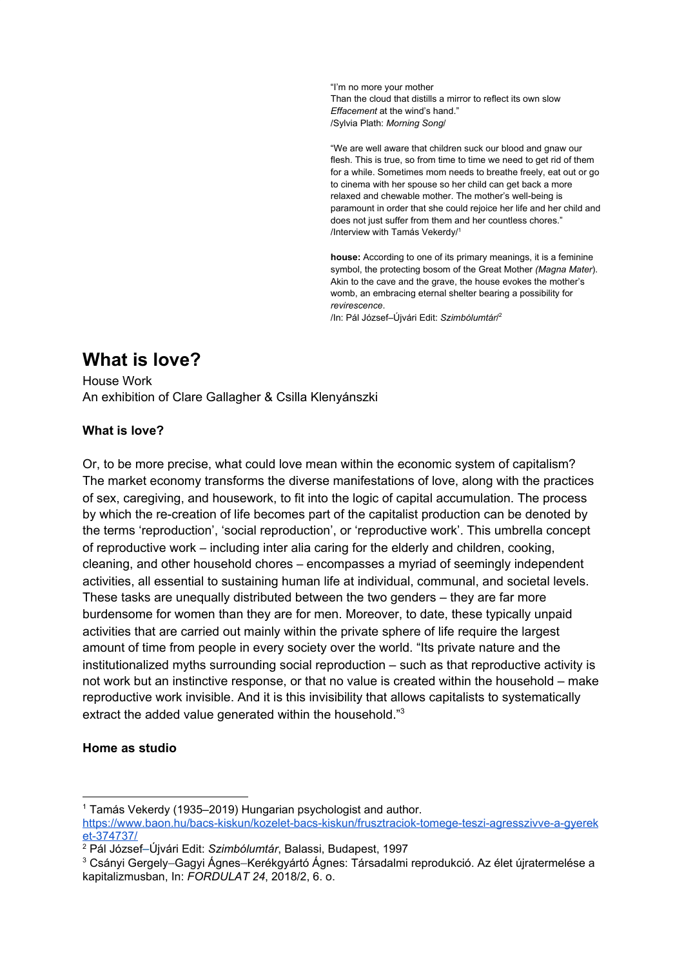"I'm no more your mother Than the cloud that distills a mirror to reflect its own slow *Effacement* at the wind's hand." /Sylvia Plath: *Morning Song*/

"We are well aware that children suck our blood and gnaw our flesh. This is true, so from time to time we need to get rid of them for a while. Sometimes mom needs to breathe freely, eat out or go to cinema with her spouse so her child can get back a more relaxed and chewable mother. The mother's well-being is paramount in order that she could rejoice her life and her child and does not just suffer from them and her countless chores." /Interview with Tamás Vekerdy/<sup>1</sup>

**house:** According to one of its primary meanings, it is a feminine symbol, the protecting bosom of the Great Mother *(Magna Mater*). Akin to the cave and the grave, the house evokes the mother's womb, an embracing eternal shelter bearing a possibility for *revirescence*. /In: Pál József–Újvári Edit: *Szimbólumtár*/ 2

# **What is love?**

House Work An exhibition of Clare Gallagher & Csilla Klenyánszki

## **What is love?**

Or, to be more precise, what could love mean within the economic system of capitalism? The market economy transforms the diverse manifestations of love, along with the practices of sex, caregiving, and housework, to fit into the logic of capital accumulation. The process by which the re-creation of life becomes part of the capitalist production can be denoted by the terms 'reproduction', 'social reproduction', or 'reproductive work'. This umbrella concept of reproductive work – including inter alia caring for the elderly and children, cooking, cleaning, and other household chores – encompasses a myriad of seemingly independent activities, all essential to sustaining human life at individual, communal, and societal levels. These tasks are unequally distributed between the two genders – they are far more burdensome for women than they are for men. Moreover, to date, these typically unpaid activities that are carried out mainly within the private sphere of life require the largest amount of time from people in every society over the world. "Its private nature and the institutionalized myths surrounding social reproduction – such as that reproductive activity is not work but an instinctive response, or that no value is created within the household – make reproductive work invisible. And it is this invisibility that allows capitalists to systematically extract the added value generated within the household."<sup>3</sup>

## **Home as studio**

<sup>1</sup> Tamás Vekerdy (1935–2019) Hungarian psychologist and author.

[https://www.baon.hu/bacs-kiskun/kozelet-bacs-kiskun/frusztraciok-tomege-teszi-agresszivve-a-gyerek](https://www.baon.hu/bacs-kiskun/kozelet-bacs-kiskun/frusztraciok-tomege-teszi-agresszivve-a-gyereket-374737/) [et-374737/](https://www.baon.hu/bacs-kiskun/kozelet-bacs-kiskun/frusztraciok-tomege-teszi-agresszivve-a-gyereket-374737/)

<sup>2</sup> Pál József–Újvári Edit: *Szimbólumtár*, Balassi, Budapest, 1997

<sup>3</sup> Csányi Gergely–Gagyi Ágnes–Kerékgyártó Ágnes: Társadalmi reprodukció. Az élet újratermelése a kapitalizmusban, In: *FORDULAT 24*, 2018/2, 6. o.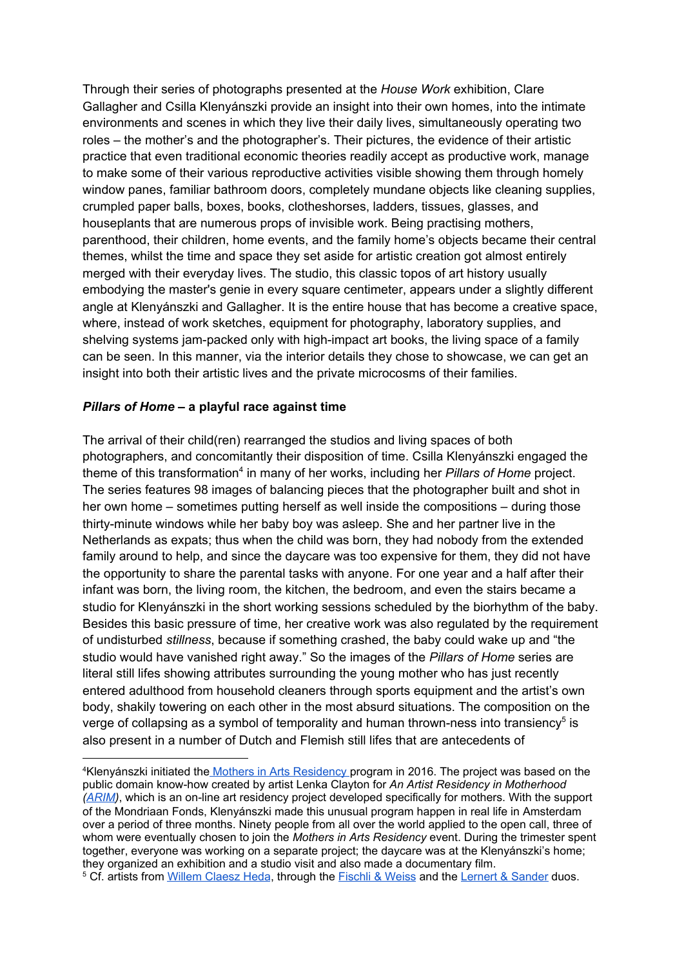Through their series of photographs presented at the *House Work* exhibition, Clare Gallagher and Csilla Klenyánszki provide an insight into their own homes, into the intimate environments and scenes in which they live their daily lives, simultaneously operating two roles – the mother's and the photographer's. Their pictures, the evidence of their artistic practice that even traditional economic theories readily accept as productive work, manage to make some of their various reproductive activities visible showing them through homely window panes, familiar bathroom doors, completely mundane objects like cleaning supplies, crumpled paper balls, boxes, books, clotheshorses, ladders, tissues, glasses, and houseplants that are numerous props of invisible work. Being practising mothers, parenthood, their children, home events, and the family home's objects became their central themes, whilst the time and space they set aside for artistic creation got almost entirely merged with their everyday lives. The studio, this classic topos of art history usually embodying the master's genie in every square centimeter, appears under a slightly different angle at Klenyánszki and Gallagher. It is the entire house that has become a creative space, where, instead of work sketches, equipment for photography, laboratory supplies, and shelving systems jam-packed only with high-impact art books, the living space of a family can be seen. In this manner, via the interior details they chose to showcase, we can get an insight into both their artistic lives and the private microcosms of their families.

#### *Pillars of Home* **– a playful race against time**

The arrival of their child(ren) rearranged the studios and living spaces of both photographers, and concomitantly their disposition of time. Csilla Klenyánszki engaged the theme of this transformation 4 in many of her works, including her *Pillars of Home* project. The series features 98 images of balancing pieces that the photographer built and shot in her own home – sometimes putting herself as well inside the compositions – during those thirty-minute windows while her baby boy was asleep. She and her partner live in the Netherlands as expats; thus when the child was born, they had nobody from the extended family around to help, and since the daycare was too expensive for them, they did not have the opportunity to share the parental tasks with anyone. For one year and a half after their infant was born, the living room, the kitchen, the bedroom, and even the stairs became a studio for Klenyánszki in the short working sessions scheduled by the biorhythm of the baby. Besides this basic pressure of time, her creative work was also regulated by the requirement of undisturbed *stillness*, because if something crashed, the baby could wake up and "the studio would have vanished right away." So the images of the *Pillars of Home* series are literal still lifes showing attributes surrounding the young mother who has just recently entered adulthood from household cleaners through sports equipment and the artist's own body, shakily towering on each other in the most absurd situations. The composition on the verge of collapsing as a symbol of temporality and human thrown-ness into transiency<sup>5</sup> is also present in a number of Dutch and Flemish still lifes that are antecedents of

<sup>&</sup>lt;sup>4</sup>Kl[e](http://www.klenyanszki.com/mothers-in-arts/introduction)nvánszki initiated the Mothers in Arts [Residency](http://www.klenyanszki.com/mothers-in-arts) program in 2016. The project was based on the public domain know-how created by artist Lenka Clayton for *An Artist Residency in Motherhood [\(ARIM\)](http://www.artistresidencyinmotherhood.com/)*, which is an on-line art residency project developed specifically for mothers. With the support of the Mondriaan Fonds, Klenyánszki made this unusual program happen in real life in Amsterdam over a period of three months. Ninety people from all over the world applied to the open call, three of whom were eventually chosen to join the *Mothers in Arts Residency* event. During the trimester spent together, everyone was working on a separate project; the daycare was at the Klenyánszki's home; they organized an exhibition and a studio visit and also made a documentary film.

<sup>&</sup>lt;sup>5</sup> Cf. artists from Willem [Claesz](https://www.rijksmuseum.nl/en/collection/SK-A-4830) Heda, through the [Fischli](https://hu.pinterest.com/pin/210754457532965541/?lp=true) & Weiss and the Lernert & [Sander](http://lernertandsander.com/silent-night/) duos.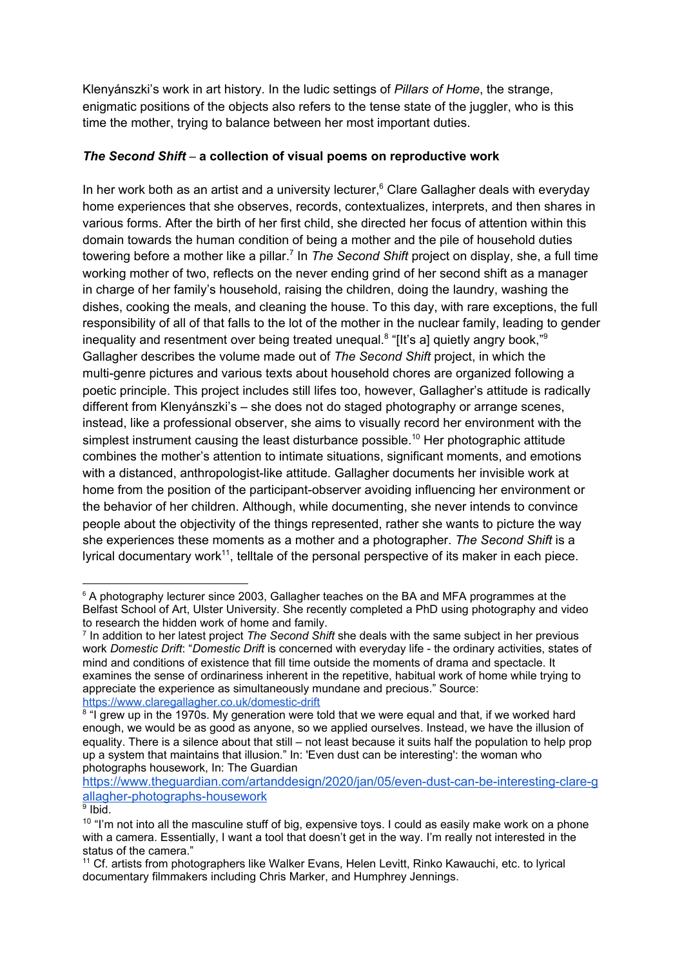Klenyánszki's work in art history. In the ludic settings of *Pillars of Home*, the strange, enigmatic positions of the objects also refers to the tense state of the juggler, who is this time the mother, trying to balance between her most important duties.

# *The Second Shift* – **a collection of visual poems on reproductive work**

In her work both as an artist and a university lecturer,<sup>6</sup> Clare Gallagher deals with everyday home experiences that she observes, records, contextualizes, interprets, and then shares in various forms. After the birth of her first child, she directed her focus of attention within this domain towards the human condition of being a mother and the pile of household duties towering before a mother like a pillar. 7 In *The Second Shift* project on display, she, a full time working mother of two, reflects on the never ending grind of her second shift as a manager in charge of her family's household, raising the children, doing the laundry, washing the dishes, cooking the meals, and cleaning the house. To this day, with rare exceptions, the full responsibility of all of that falls to the lot of the mother in the nuclear family, leading to gender inequality and resentment over being treated unequal.<sup>8</sup> "[It's a] quietly angry book,"<sup>9</sup> Gallagher describes the volume made out of *The Second Shift* project, in which the multi-genre pictures and various texts about household chores are organized following a poetic principle. This project includes still lifes too, however, Gallagher's attitude is radically different from Klenyánszki's – she does not do staged photography or arrange scenes, instead, like a professional observer, she aims to visually record her environment with the simplest instrument causing the least disturbance possible.<sup>10</sup> Her photographic attitude combines the mother's attention to intimate situations, significant moments, and emotions with a distanced, anthropologist-like attitude. Gallagher documents her invisible work at home from the position of the participant-observer avoiding influencing her environment or the behavior of her children. Although, while documenting, she never intends to convince people about the objectivity of the things represented, rather she wants to picture the way she experiences these moments as a mother and a photographer. *The Second Shift* is a lyrical documentary work<sup>11</sup>, telltale of the personal perspective of its maker in each piece.

<sup>&</sup>lt;sup>6</sup> A photography lecturer since 2003, Gallagher teaches on the BA and MFA programmes at the Belfast School of Art, Ulster University. She recently completed a PhD using photography and video to research the hidden work of home and family.

<sup>7</sup> In addition to her latest project *The Second Shift* she deals with the same subject in her previous work *Domestic Drift*: "*Domestic Drift* is concerned with everyday life - the ordinary activities, states of mind and conditions of existence that fill time outside the moments of drama and spectacle. It examines the sense of ordinariness inherent in the repetitive, habitual work of home while trying to appreciate the experience as simultaneously mundane and precious." Source: <https://www.claregallagher.co.uk/domestic-drift>

<sup>&</sup>lt;sup>8</sup> "I grew up in the 1970s. My generation were told that we were equal and that, if we worked hard enough, we would be as good as anyone, so we applied ourselves. Instead, we have the illusion of equality. There is a silence about that still – not least because it suits half the population to help prop up a system that maintains that illusion." In: 'Even dust can be interesting': the woman who photographs housework, In: The Guardian

[https://www.theguardian.com/artanddesign/2020/jan/05/even-dust-can-be-interesting-clare-g](https://www.theguardian.com/artanddesign/2020/jan/05/even-dust-can-be-interesting-clare-gallagher-photographs-housework) [allagher-photographs-housework](https://www.theguardian.com/artanddesign/2020/jan/05/even-dust-can-be-interesting-clare-gallagher-photographs-housework)

<sup>&</sup>lt;sup>9</sup> Ibid.

 $10$  "I'm not into all the masculine stuff of big, expensive toys. I could as easily make work on a phone with a camera. Essentially, I want a tool that doesn't get in the way. I'm really not interested in the status of the camera."

<sup>11</sup> Cf. artists from photographers like Walker Evans, Helen Levitt, Rinko Kawauchi, etc. to lyrical documentary filmmakers including Chris Marker, and Humphrey Jennings.